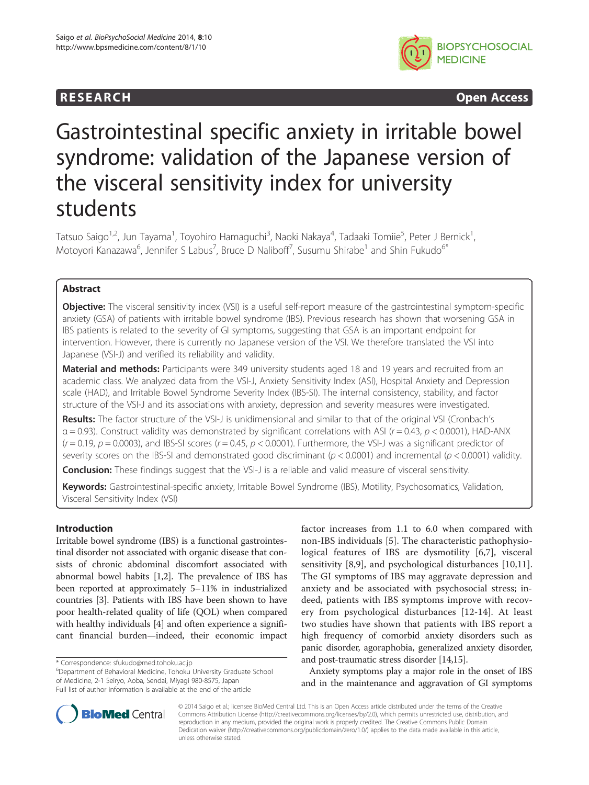

**RESEARCH CHINESEARCH CHINESEARCH CHINESE** 

# Gastrointestinal specific anxiety in irritable bowel syndrome: validation of the Japanese version of the visceral sensitivity index for university students

Tatsuo Saigo<sup>1,2</sup>, Jun Tayama<sup>1</sup>, Toyohiro Hamaguchi<sup>3</sup>, Naoki Nakaya<sup>4</sup>, Tadaaki Tomiie<sup>5</sup>, Peter J Bernick<sup>1</sup> , Motoyori Kanazawa<sup>6</sup>, Jennifer S Labus<sup>7</sup>, Bruce D Naliboff<sup>7</sup>, Susumu Shirabe<sup>1</sup> and Shin Fukudo<sup>6\*</sup>

# Abstract

Objective: The visceral sensitivity index (VSI) is a useful self-report measure of the gastrointestinal symptom-specific anxiety (GSA) of patients with irritable bowel syndrome (IBS). Previous research has shown that worsening GSA in IBS patients is related to the severity of GI symptoms, suggesting that GSA is an important endpoint for intervention. However, there is currently no Japanese version of the VSI. We therefore translated the VSI into Japanese (VSI-J) and verified its reliability and validity.

**Material and methods:** Participants were 349 university students aged 18 and 19 years and recruited from an academic class. We analyzed data from the VSI-J, Anxiety Sensitivity Index (ASI), Hospital Anxiety and Depression scale (HAD), and Irritable Bowel Syndrome Severity Index (IBS-SI). The internal consistency, stability, and factor structure of the VSI-J and its associations with anxiety, depression and severity measures were investigated.

Results: The factor structure of the VSI-J is unidimensional and similar to that of the original VSI (Cronbach's  $\alpha$  = 0.93). Construct validity was demonstrated by significant correlations with ASI ( $r$  = 0.43,  $p$  < 0.0001), HAD-ANX  $(r = 0.19, p = 0.0003)$ , and IBS-SI scores  $(r = 0.45, p < 0.0001)$ . Furthermore, the VSI-J was a significant predictor of severity scores on the IBS-SI and demonstrated good discriminant ( $p < 0.0001$ ) and incremental ( $p < 0.0001$ ) validity.

**Conclusion:** These findings suggest that the VSI-J is a reliable and valid measure of visceral sensitivity.

Keywords: Gastrointestinal-specific anxiety, Irritable Bowel Syndrome (IBS), Motility, Psychosomatics, Validation, Visceral Sensitivity Index (VSI)

# Introduction

Irritable bowel syndrome (IBS) is a functional gastrointestinal disorder not associated with organic disease that consists of chronic abdominal discomfort associated with abnormal bowel habits [\[1](#page-7-0)[,2](#page-8-0)]. The prevalence of IBS has been reported at approximately 5–11% in industrialized countries [\[3](#page-8-0)]. Patients with IBS have been shown to have poor health-related quality of life (QOL) when compared with healthy individuals [\[4](#page-8-0)] and often experience a significant financial burden—indeed, their economic impact

Department of Behavioral Medicine, Tohoku University Graduate School of Medicine, 2-1 Seiryo, Aoba, Sendai, Miyagi 980-8575, Japan Full list of author information is available at the end of the article

factor increases from 1.1 to 6.0 when compared with non-IBS individuals [\[5](#page-8-0)]. The characteristic pathophysiological features of IBS are dysmotility [[6,7](#page-8-0)], visceral sensitivity [[8,9](#page-8-0)], and psychological disturbances [[10,11](#page-8-0)]. The GI symptoms of IBS may aggravate depression and anxiety and be associated with psychosocial stress; indeed, patients with IBS symptoms improve with recovery from psychological disturbances [[12-14\]](#page-8-0). At least two studies have shown that patients with IBS report a high frequency of comorbid anxiety disorders such as panic disorder, agoraphobia, generalized anxiety disorder, and post-traumatic stress disorder [[14,15](#page-8-0)].

Anxiety symptoms play a major role in the onset of IBS and in the maintenance and aggravation of GI symptoms



© 2014 Saigo et al.; licensee BioMed Central Ltd. This is an Open Access article distributed under the terms of the Creative Commons Attribution License [\(http://creativecommons.org/licenses/by/2.0\)](http://creativecommons.org/licenses/by/2.0), which permits unrestricted use, distribution, and reproduction in any medium, provided the original work is properly credited. The Creative Commons Public Domain Dedication waiver [\(http://creativecommons.org/publicdomain/zero/1.0/](http://creativecommons.org/publicdomain/zero/1.0/)) applies to the data made available in this article, unless otherwise stated.

<sup>\*</sup> Correspondence: [sfukudo@med.tohoku.ac.jp](mailto:sfukudo@med.tohoku.ac.jp) <sup>6</sup>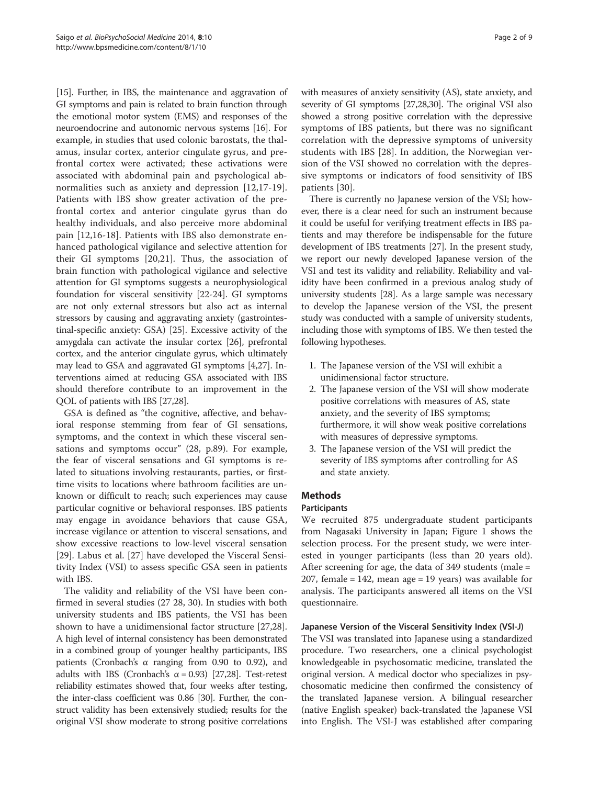[[15](#page-8-0)]. Further, in IBS, the maintenance and aggravation of GI symptoms and pain is related to brain function through the emotional motor system (EMS) and responses of the neuroendocrine and autonomic nervous systems [[16](#page-8-0)]. For example, in studies that used colonic barostats, the thalamus, insular cortex, anterior cingulate gyrus, and prefrontal cortex were activated; these activations were associated with abdominal pain and psychological abnormalities such as anxiety and depression [\[12,17-19](#page-8-0)]. Patients with IBS show greater activation of the prefrontal cortex and anterior cingulate gyrus than do healthy individuals, and also perceive more abdominal pain [\[12](#page-8-0),[16-18](#page-8-0)]. Patients with IBS also demonstrate enhanced pathological vigilance and selective attention for their GI symptoms [[20,21\]](#page-8-0). Thus, the association of brain function with pathological vigilance and selective attention for GI symptoms suggests a neurophysiological foundation for visceral sensitivity [\[22-24\]](#page-8-0). GI symptoms are not only external stressors but also act as internal stressors by causing and aggravating anxiety (gastrointestinal-specific anxiety: GSA) [\[25](#page-8-0)]. Excessive activity of the amygdala can activate the insular cortex [[26](#page-8-0)], prefrontal cortex, and the anterior cingulate gyrus, which ultimately may lead to GSA and aggravated GI symptoms [[4](#page-8-0),[27](#page-8-0)]. Interventions aimed at reducing GSA associated with IBS should therefore contribute to an improvement in the QOL of patients with IBS [\[27,28\]](#page-8-0).

GSA is defined as "the cognitive, affective, and behavioral response stemming from fear of GI sensations, symptoms, and the context in which these visceral sensations and symptoms occur" (28, p.89). For example, the fear of visceral sensations and GI symptoms is related to situations involving restaurants, parties, or firsttime visits to locations where bathroom facilities are unknown or difficult to reach; such experiences may cause particular cognitive or behavioral responses. IBS patients may engage in avoidance behaviors that cause GSA, increase vigilance or attention to visceral sensations, and show excessive reactions to low-level visceral sensation [[29\]](#page-8-0). Labus et al. [\[27\]](#page-8-0) have developed the Visceral Sensitivity Index (VSI) to assess specific GSA seen in patients with IBS.

The validity and reliability of the VSI have been confirmed in several studies (27 28, 30). In studies with both university students and IBS patients, the VSI has been shown to have a unidimensional factor structure [\[27,28](#page-8-0)]. A high level of internal consistency has been demonstrated in a combined group of younger healthy participants, IBS patients (Cronbach's α ranging from 0.90 to 0.92), and adults with IBS (Cronbach's  $\alpha = 0.93$ ) [[27,28\]](#page-8-0). Test-retest reliability estimates showed that, four weeks after testing, the inter-class coefficient was 0.86 [\[30](#page-8-0)]. Further, the construct validity has been extensively studied; results for the original VSI show moderate to strong positive correlations with measures of anxiety sensitivity (AS), state anxiety, and severity of GI symptoms [[27,28,30](#page-8-0)]. The original VSI also showed a strong positive correlation with the depressive symptoms of IBS patients, but there was no significant correlation with the depressive symptoms of university students with IBS [[28\]](#page-8-0). In addition, the Norwegian version of the VSI showed no correlation with the depressive symptoms or indicators of food sensitivity of IBS patients [[30\]](#page-8-0).

There is currently no Japanese version of the VSI; however, there is a clear need for such an instrument because it could be useful for verifying treatment effects in IBS patients and may therefore be indispensable for the future development of IBS treatments [[27](#page-8-0)]. In the present study, we report our newly developed Japanese version of the VSI and test its validity and reliability. Reliability and validity have been confirmed in a previous analog study of university students [\[28](#page-8-0)]. As a large sample was necessary to develop the Japanese version of the VSI, the present study was conducted with a sample of university students, including those with symptoms of IBS. We then tested the following hypotheses.

- 1. The Japanese version of the VSI will exhibit a unidimensional factor structure.
- 2. The Japanese version of the VSI will show moderate positive correlations with measures of AS, state anxiety, and the severity of IBS symptoms; furthermore, it will show weak positive correlations with measures of depressive symptoms.
- 3. The Japanese version of the VSI will predict the severity of IBS symptoms after controlling for AS and state anxiety.

# Methods

#### **Participants**

We recruited 875 undergraduate student participants from Nagasaki University in Japan; Figure [1](#page-2-0) shows the selection process. For the present study, we were interested in younger participants (less than 20 years old). After screening for age, the data of 349 students (male = 207, female = 142, mean age = 19 years) was available for analysis. The participants answered all items on the VSI questionnaire.

#### Japanese Version of the Visceral Sensitivity Index (VSI-J)

The VSI was translated into Japanese using a standardized procedure. Two researchers, one a clinical psychologist knowledgeable in psychosomatic medicine, translated the original version. A medical doctor who specializes in psychosomatic medicine then confirmed the consistency of the translated Japanese version. A bilingual researcher (native English speaker) back-translated the Japanese VSI into English. The VSI-J was established after comparing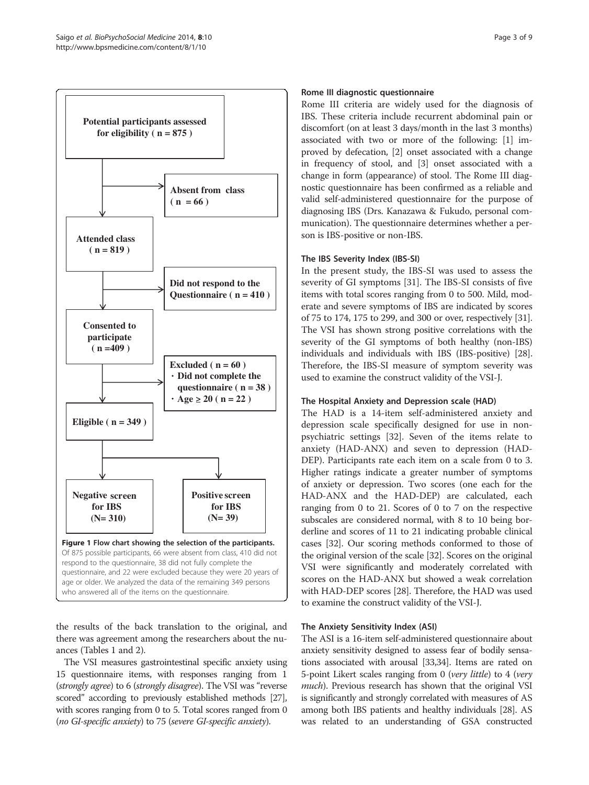<span id="page-2-0"></span>

the results of the back translation to the original, and there was agreement among the researchers about the nuances (Tables [1](#page-3-0) and [2](#page-4-0)).

The VSI measures gastrointestinal specific anxiety using 15 questionnaire items, with responses ranging from 1 (strongly agree) to 6 (strongly disagree). The VSI was "reverse scored" according to previously established methods [\[27](#page-8-0)], with scores ranging from 0 to 5. Total scores ranged from 0 (no GI-specific anxiety) to 75 (severe GI-specific anxiety).

#### Rome III diagnostic questionnaire

Rome III criteria are widely used for the diagnosis of IBS. These criteria include recurrent abdominal pain or discomfort (on at least 3 days/month in the last 3 months) associated with two or more of the following: [\[1](#page-7-0)] improved by defecation, [[2](#page-8-0)] onset associated with a change in frequency of stool, and [[3](#page-8-0)] onset associated with a change in form (appearance) of stool. The Rome III diagnostic questionnaire has been confirmed as a reliable and valid self-administered questionnaire for the purpose of diagnosing IBS (Drs. Kanazawa & Fukudo, personal communication). The questionnaire determines whether a person is IBS-positive or non-IBS.

#### The IBS Severity Index (IBS-SI)

In the present study, the IBS-SI was used to assess the severity of GI symptoms [[31](#page-8-0)]. The IBS-SI consists of five items with total scores ranging from 0 to 500. Mild, moderate and severe symptoms of IBS are indicated by scores of 75 to 174, 175 to 299, and 300 or over, respectively [[31](#page-8-0)]. The VSI has shown strong positive correlations with the severity of the GI symptoms of both healthy (non-IBS) individuals and individuals with IBS (IBS-positive) [[28](#page-8-0)]. Therefore, the IBS-SI measure of symptom severity was used to examine the construct validity of the VSI-J.

### The Hospital Anxiety and Depression scale (HAD)

The HAD is a 14-item self-administered anxiety and depression scale specifically designed for use in nonpsychiatric settings [[32](#page-8-0)]. Seven of the items relate to anxiety (HAD-ANX) and seven to depression (HAD-DEP). Participants rate each item on a scale from 0 to 3. Higher ratings indicate a greater number of symptoms of anxiety or depression. Two scores (one each for the HAD-ANX and the HAD-DEP) are calculated, each ranging from 0 to 21. Scores of 0 to 7 on the respective subscales are considered normal, with 8 to 10 being borderline and scores of 11 to 21 indicating probable clinical cases [[32](#page-8-0)]. Our scoring methods conformed to those of the original version of the scale [\[32\]](#page-8-0). Scores on the original VSI were significantly and moderately correlated with scores on the HAD-ANX but showed a weak correlation with HAD-DEP scores [\[28\]](#page-8-0). Therefore, the HAD was used to examine the construct validity of the VSI-J.

#### The Anxiety Sensitivity Index (ASI)

The ASI is a 16-item self-administered questionnaire about anxiety sensitivity designed to assess fear of bodily sensations associated with arousal [\[33,34](#page-8-0)]. Items are rated on 5-point Likert scales ranging from 0 (very little) to 4 (very much). Previous research has shown that the original VSI is significantly and strongly correlated with measures of AS among both IBS patients and healthy individuals [\[28\]](#page-8-0). AS was related to an understanding of GSA constructed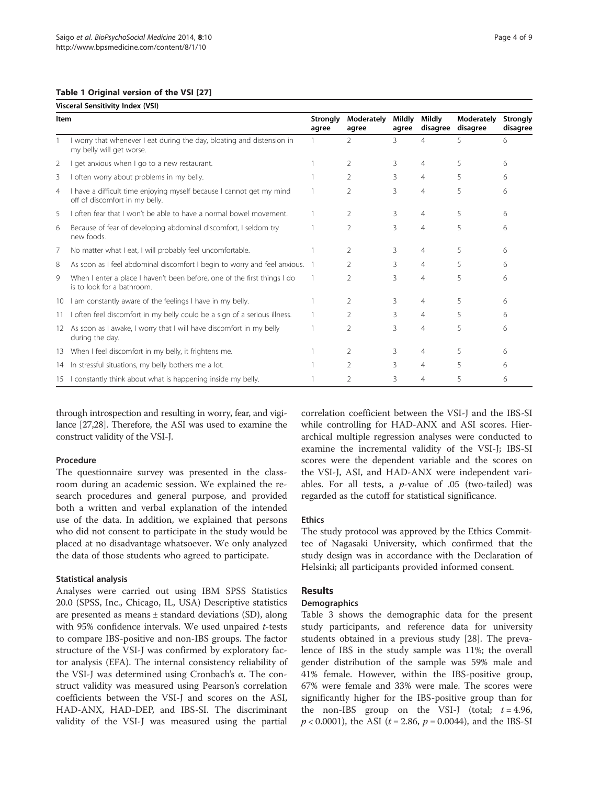#### <span id="page-3-0"></span>Table 1 Original version of the VSI [\[27](#page-8-0)]

|      | <b>Visceral Sensitivity Index (VSI)</b>                                                                |                          |                     |                 |                    |                        |                             |
|------|--------------------------------------------------------------------------------------------------------|--------------------------|---------------------|-----------------|--------------------|------------------------|-----------------------------|
| Item |                                                                                                        | <b>Strongly</b><br>agree | Moderately<br>agree | Mildly<br>agree | Mildly<br>disagree | Moderately<br>disagree | <b>Strongly</b><br>disagree |
|      | I worry that whenever I eat during the day, bloating and distension in<br>my belly will get worse.     |                          | 2                   | 3               | 4                  | 5                      | 6                           |
| 2    | I get anxious when I go to a new restaurant.                                                           |                          | 2                   | 3               | 4                  | 5                      | 6                           |
| 3    | often worry about problems in my belly.                                                                |                          | 2                   | 3               | 4                  | 5                      | 6                           |
| 4    | I have a difficult time enjoying myself because I cannot get my mind<br>off of discomfort in my belly. |                          | 2                   | 3               | 4                  | 5                      | 6                           |
| 5    | I often fear that I won't be able to have a normal bowel movement.                                     |                          | 2                   | 3               | 4                  | 5                      | 6                           |
| 6    | Because of fear of developing abdominal discomfort, I seldom try<br>new foods.                         |                          | $\mathcal{P}$       | 3               | $\overline{4}$     | 5                      | 6                           |
| 7    | No matter what I eat, I will probably feel uncomfortable.                                              |                          | $\overline{2}$      | 3               | 4                  | 5                      | 6                           |
| 8    | As soon as I feel abdominal discomfort I begin to worry and feel anxious.                              |                          | 2                   | 3               | 4                  | 5                      | 6                           |
| 9    | When I enter a place I haven't been before, one of the first things I do<br>is to look for a bathroom. |                          | $\mathcal{P}$       | 3               | 4                  | 5                      | 6                           |
| 10   | I am constantly aware of the feelings I have in my belly.                                              |                          | 2                   | 3               | 4                  | 5                      | 6                           |
|      | often feel discomfort in my belly could be a sign of a serious illness.                                |                          | $\overline{2}$      | 3               | 4                  | 5                      | 6                           |
| 12   | As soon as I awake, I worry that I will have discomfort in my belly<br>during the day.                 |                          | 2                   | 3               | 4                  | 5                      | 6                           |
| 13   | When I feel discomfort in my belly, it frightens me.                                                   |                          | 2                   | 3               | 4                  | 5                      | 6                           |
| 14   | In stressful situations, my belly bothers me a lot.                                                    |                          | $\mathcal{P}$       | 3               | 4                  | 5                      | 6                           |
|      | 15 I constantly think about what is happening inside my belly.                                         |                          | $\mathcal{P}$       | 3               | 4                  | 5                      | 6                           |

through introspection and resulting in worry, fear, and vigilance [\[27,28](#page-8-0)]. Therefore, the ASI was used to examine the construct validity of the VSI-J.

#### Procedure

The questionnaire survey was presented in the classroom during an academic session. We explained the research procedures and general purpose, and provided both a written and verbal explanation of the intended use of the data. In addition, we explained that persons who did not consent to participate in the study would be placed at no disadvantage whatsoever. We only analyzed the data of those students who agreed to participate.

#### Statistical analysis

Analyses were carried out using IBM SPSS Statistics 20.0 (SPSS, Inc., Chicago, IL, USA) Descriptive statistics are presented as means  $\pm$  standard deviations (SD), along with 95% confidence intervals. We used unpaired  $t$ -tests to compare IBS-positive and non-IBS groups. The factor structure of the VSI-J was confirmed by exploratory factor analysis (EFA). The internal consistency reliability of the VSI-J was determined using Cronbach's α. The construct validity was measured using Pearson's correlation coefficients between the VSI-J and scores on the ASI, HAD-ANX, HAD-DEP, and IBS-SI. The discriminant validity of the VSI-J was measured using the partial

correlation coefficient between the VSI-J and the IBS-SI while controlling for HAD-ANX and ASI scores. Hierarchical multiple regression analyses were conducted to examine the incremental validity of the VSI-J; IBS-SI scores were the dependent variable and the scores on the VSI-J, ASI, and HAD-ANX were independent variables. For all tests, a  $p$ -value of .05 (two-tailed) was regarded as the cutoff for statistical significance.

#### Ethics

The study protocol was approved by the Ethics Committee of Nagasaki University, which confirmed that the study design was in accordance with the Declaration of Helsinki; all participants provided informed consent.

# Results

#### **Demographics**

Table [3](#page-4-0) shows the demographic data for the present study participants, and reference data for university students obtained in a previous study [[28\]](#page-8-0). The prevalence of IBS in the study sample was 11%; the overall gender distribution of the sample was 59% male and 41% female. However, within the IBS-positive group, 67% were female and 33% were male. The scores were significantly higher for the IBS-positive group than for the non-IBS group on the VSI-J (total;  $t = 4.96$ ,  $p < 0.0001$ ), the ASI ( $t = 2.86$ ,  $p = 0.0044$ ), and the IBS-SI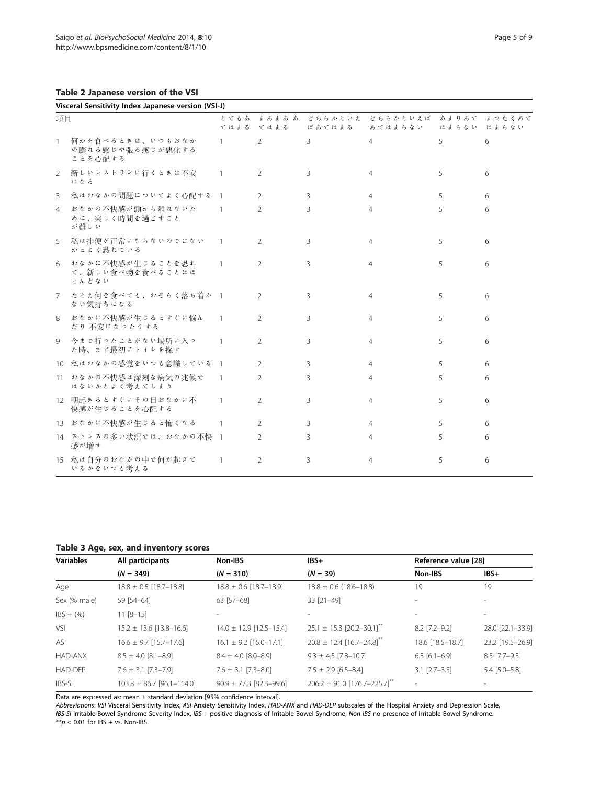# <span id="page-4-0"></span>Table 2 Japanese version of the VSI

| Visceral Sensitivity Index Japanese version (VSI-J) |                                                 |                |                |   |                                                             |             |   |  |
|-----------------------------------------------------|-------------------------------------------------|----------------|----------------|---|-------------------------------------------------------------|-------------|---|--|
| 項目                                                  |                                                 |                | てはまる てはまる      |   | とてもあ まあまあ あ どちらかといえ どちらかといえば あまりあて まったくあて<br>ばあてはまる あてはまらない | はまらない はまらない |   |  |
| $1 \quad$                                           | 何かを食べるときは、いつもおなか<br>の膨れる感じや張る感じが悪化する<br>ことを心配する | $\mathbf{1}$   | $\overline{2}$ | 3 | $\overline{4}$                                              | 5           | 6 |  |
|                                                     | 2 新しいレストランに行くときは不安<br>になる                       | $\mathbf{1}$   | $\mathcal{P}$  | 3 | $\overline{4}$                                              | 5           | 6 |  |
| 3                                                   | 私はおなかの問題についてよく心配する 1                            |                | $\mathcal{P}$  | 3 | $\overline{4}$                                              | 5           | 6 |  |
| $\overline{4}$                                      | おなかの不快感が頭から離れないた<br>めに、楽しく時間を過ごすこと<br>が難しい      | $\sim$ 1       | $\mathcal{P}$  | 3 | $\overline{4}$                                              | 5           | 6 |  |
| .5                                                  | 私は排便が正常にならないのではない<br>かとよく恐れている                  | $\overline{1}$ | $\mathcal{P}$  | 3 | $\overline{4}$                                              | 5           | 6 |  |
| 6                                                   | おなかに不快感が牛じることを恐れ<br>て、新しい食べ物を食べることはほ<br>とんどない   | $\mathbf{1}$   | $\overline{2}$ | 3 | $\overline{4}$                                              | 5           | 6 |  |
| 7                                                   | たとえ何を食べても、おそらく落ち着か 1<br>ない気持ちになる                |                | $\mathcal{P}$  | 3 | $\overline{4}$                                              | 5           | 6 |  |
| 8                                                   | おなかに不快感が生じるとすぐに悩ん<br>だり 不安になったりする               | $\overline{1}$ | $\overline{2}$ | 3 | $\overline{4}$                                              | 5           | 6 |  |
|                                                     | 9 今まで行ったことがない場所に入っ<br>た時、まず最初にトイレを探す            | $\overline{1}$ | $\mathcal{P}$  | 3 | $\overline{4}$                                              | 5           | 6 |  |
|                                                     | 10 私はおなかの感覚をいつも意識している 1                         |                | $\mathcal{P}$  | 3 | $\overline{4}$                                              | 5           | 6 |  |
|                                                     | 11 おなかの不快感は深刻な病気の兆候で<br>はないかとよく考えてしまう           | $\overline{1}$ | $\mathcal{P}$  | 3 | $\overline{4}$                                              | 5           | 6 |  |
|                                                     | 12 朝起きるとすぐにその日おなかに不<br>快感が生じることを心配する            | $\overline{1}$ | 2              | 3 | $\overline{4}$                                              | 5           | 6 |  |
|                                                     | 13 おなかに不快感が生じると怖くなる                             | $\overline{1}$ | 2              | 3 | $\overline{4}$                                              | 5           | 6 |  |
|                                                     | 14 ストレスの多い状況では、おなかの不快 1<br>感が増す                 |                | $\overline{2}$ | 3 | $\overline{4}$                                              | 5           | 6 |  |
|                                                     | 15 私は白分のおなかの中で何が起きて<br>いるかをいつも考える               | $\overline{1}$ | $\mathcal{P}$  | 3 | $\overline{4}$                                              | 5           | 6 |  |

# Table 3 Age, sex, and inventory scores

| <b>Variables</b> | All participants              | Non-IBS                     | $IBS+$                                       | Reference value [28] |                  |  |
|------------------|-------------------------------|-----------------------------|----------------------------------------------|----------------------|------------------|--|
|                  | $(N = 349)$                   | $(N = 310)$                 | $(N = 39)$                                   | Non-IBS              | $IBS+$           |  |
| Age              | $18.8 \pm 0.5$ [18.7-18.8]    | $18.8 \pm 0.6$ [18.7-18.9]  | $18.8 \pm 0.6$ (18.6-18.8)                   | 19                   | 19               |  |
| Sex (% male)     | 59 [54-64]                    | 63 [57-68]                  | 33 [21-49]                                   |                      |                  |  |
| $IBS + (%)$      | $11 [8 - 15]$                 |                             |                                              |                      |                  |  |
| <b>VSI</b>       | $15.2 \pm 13.6$ [13.8-16.6]   | $14.0 \pm 12.9$ [12.5-15.4] | $25.1 \pm 15.3$ [20.2-30.1] <sup>**</sup>    | $8.2$ [7.2-9.2]      | 28.0 [22.1-33.9] |  |
| ASI              | $16.6 \pm 9.7$ [15.7-17.6]    | $16.1 \pm 9.2$ [15.0-17.1]  | $20.8 \pm 12.4$ [16.7-24.8] <sup>**</sup>    | 18.6 [18.5-18.7]     | 23.2 [19.5-26.9] |  |
| <b>HAD-ANX</b>   | $8.5 \pm 4.0$ [8.1-8.9]       | $8.4 \pm 4.0$ [8.0-8.9]     | $9.3 \pm 4.5$ [7.8-10.7]                     | $6.5$ [6.1-6.9]      | $8.5$ [7.7-9.3]  |  |
| <b>HAD-DEP</b>   | $7.6 \pm 3.1$ [7.3-7.9]       | $7.6 \pm 3.1$ [7.3-8.0]     | $7.5 \pm 2.9$ [6.5-8.4]                      | $3.1$ $[2.7 - 3.5]$  | $5.4$ [5.0-5.8]  |  |
| <b>IBS-SI</b>    | $103.8 \pm 86.7$ [96.1-114.0] | $90.9 \pm 77.3$ [82.3-99.6] | $206.2 \pm 91.0$ [176.7-225.7] <sup>**</sup> |                      |                  |  |

Data are expressed as: mean  $\pm$  standard deviation [95% confidence interval].

Abbreviations: VSI Visceral Sensitivity Index, ASI Anxiety Sensitivity Index, HAD-ANX and HAD-DEP subscales of the Hospital Anxiety and Depression Scale, IBS-SI Irritable Bowel Syndrome Severity Index, IBS + positive diagnosis of Irritable Bowel Syndrome, Non-IBS no presence of Irritable Bowel Syndrome.  $**p < 0.01$  for IBS + vs. Non-IBS.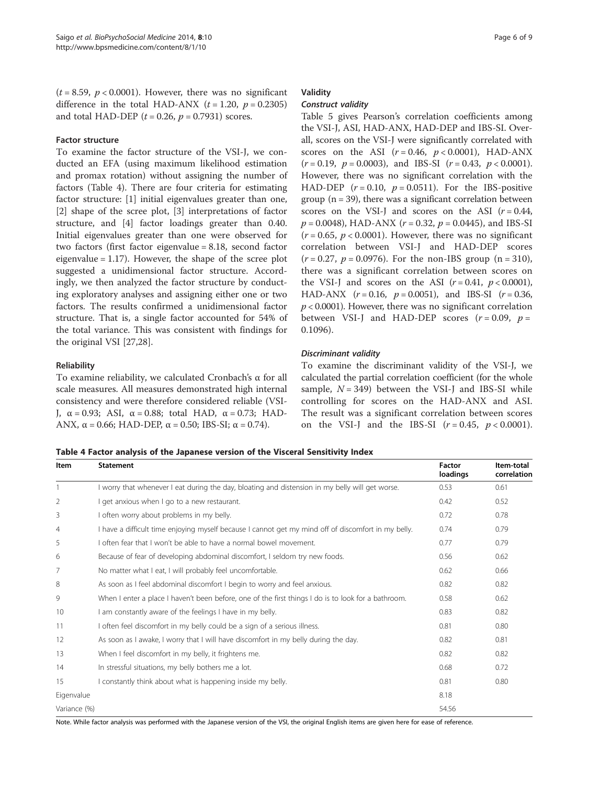$(t = 8.59, p < 0.0001)$ . However, there was no significant difference in the total HAD-ANX  $(t = 1.20, p = 0.2305)$ and total HAD-DEP ( $t = 0.26$ ,  $p = 0.7931$ ) scores.

#### Factor structure

To examine the factor structure of the VSI-J, we conducted an EFA (using maximum likelihood estimation and promax rotation) without assigning the number of factors (Table 4). There are four criteria for estimating factor structure: [\[1\]](#page-7-0) initial eigenvalues greater than one, [[2\]](#page-8-0) shape of the scree plot, [[3](#page-8-0)] interpretations of factor structure, and [[4\]](#page-8-0) factor loadings greater than 0.40. Initial eigenvalues greater than one were observed for two factors (first factor eigenvalue = 8.18, second factor eigenvalue = 1.17). However, the shape of the scree plot suggested a unidimensional factor structure. Accordingly, we then analyzed the factor structure by conducting exploratory analyses and assigning either one or two factors. The results confirmed a unidimensional factor structure. That is, a single factor accounted for 54% of the total variance. This was consistent with findings for the original VSI [[27](#page-8-0),[28](#page-8-0)].

#### Reliability

To examine reliability, we calculated Cronbach's α for all scale measures. All measures demonstrated high internal consistency and were therefore considered reliable (VSI-J, α = 0.93; ASI, α = 0.88; total HAD, α = 0.73; HAD-ANX,  $\alpha$  = 0.66; HAD-DEP,  $\alpha$  = 0.50; IBS-SI;  $\alpha$  = 0.74).

# Validity

# Construct validity

Table [5](#page-6-0) gives Pearson's correlation coefficients among the VSI-J, ASI, HAD-ANX, HAD-DEP and IBS-SI. Overall, scores on the VSI-J were significantly correlated with scores on the ASI  $(r = 0.46, p < 0.0001)$ , HAD-ANX  $(r = 0.19, p = 0.0003)$ , and IBS-SI  $(r = 0.43, p < 0.0001)$ . However, there was no significant correlation with the HAD-DEP  $(r = 0.10, p = 0.0511)$ . For the IBS-positive group ( $n = 39$ ), there was a significant correlation between scores on the VSI-J and scores on the ASI  $(r = 0.44,$  $p = 0.0048$ , HAD-ANX ( $r = 0.32$ ,  $p = 0.0445$ ), and IBS-SI  $(r = 0.65, p < 0.0001)$ . However, there was no significant correlation between VSI-J and HAD-DEP scores  $(r = 0.27, p = 0.0976)$ . For the non-IBS group  $(n = 310)$ , there was a significant correlation between scores on the VSI-J and scores on the ASI  $(r = 0.41, p < 0.0001)$ , HAD-ANX  $(r = 0.16, p = 0.0051)$ , and IBS-SI  $(r = 0.36,$  $p < 0.0001$ ). However, there was no significant correlation between VSI-J and HAD-DEP scores  $(r = 0.09, p =$ 0.1096).

#### Discriminant validity

To examine the discriminant validity of the VSI-J, we calculated the partial correlation coefficient (for the whole sample,  $N = 349$ ) between the VSI-J and IBS-SI while controlling for scores on the HAD-ANX and ASI. The result was a significant correlation between scores on the VSI-J and the IBS-SI  $(r = 0.45, p < 0.0001)$ .

Table 4 Factor analysis of the Japanese version of the Visceral Sensitivity Index

| Item         | <b>Statement</b>                                                                                    | <b>Factor</b><br>loadings | Item-total<br>correlation |  |
|--------------|-----------------------------------------------------------------------------------------------------|---------------------------|---------------------------|--|
|              | I worry that whenever I eat during the day, bloating and distension in my belly will get worse.     | 0.53                      | 0.61                      |  |
| 2            | I get anxious when I go to a new restaurant.                                                        | 0.42                      | 0.52                      |  |
| 3            | I often worry about problems in my belly.                                                           | 0.72                      | 0.78                      |  |
| 4            | I have a difficult time enjoying myself because I cannot get my mind off of discomfort in my belly. | 0.74                      | 0.79                      |  |
| 5            | I often fear that I won't be able to have a normal bowel movement.                                  | 0.77                      | 0.79                      |  |
| 6            | Because of fear of developing abdominal discomfort, I seldom try new foods.                         | 0.56                      | 0.62                      |  |
| 7            | No matter what I eat, I will probably feel uncomfortable.                                           | 0.62                      | 0.66                      |  |
| 8            | As soon as I feel abdominal discomfort I begin to worry and feel anxious.                           | 0.82                      | 0.82                      |  |
| 9            | When I enter a place I haven't been before, one of the first things I do is to look for a bathroom. | 0.58                      | 0.62                      |  |
| 10           | I am constantly aware of the feelings I have in my belly.                                           | 0.83                      | 0.82                      |  |
| 11           | I often feel discomfort in my belly could be a sign of a serious illness.                           | 0.81                      | 0.80                      |  |
| 12           | As soon as I awake, I worry that I will have discomfort in my belly during the day.                 | 0.82                      | 0.81                      |  |
| 13           | When I feel discomfort in my belly, it frightens me.                                                | 0.82                      | 0.82                      |  |
| 14           | In stressful situations, my belly bothers me a lot.                                                 | 0.68                      | 0.72                      |  |
| 15           | constantly think about what is happening inside my belly.                                           | 0.81                      | 0.80                      |  |
| Eigenvalue   |                                                                                                     | 8.18                      |                           |  |
| Variance (%) |                                                                                                     | 54.56                     |                           |  |

Note. While factor analysis was performed with the Japanese version of the VSI, the original English items are given here for ease of reference.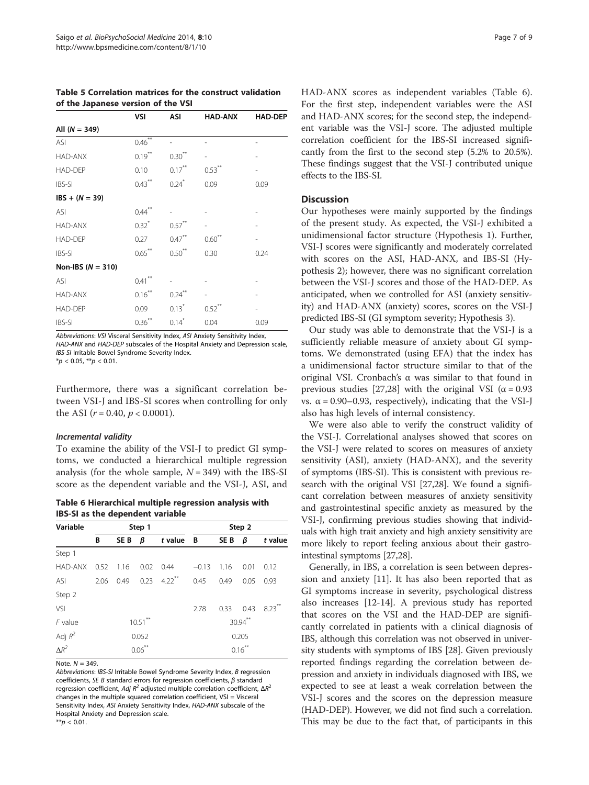<span id="page-6-0"></span>Table 5 Correlation matrices for the construct validation of the Japanese version of the VSI

| VSI       | ASI                 | <b>HAD-ANX</b> | <b>HAD-DEP</b> |
|-----------|---------------------|----------------|----------------|
|           |                     |                |                |
|           |                     |                |                |
| $0.19***$ | $0.30***$           |                |                |
| 0.10      | $0.17***$           | $0.53***$      |                |
| $0.43***$ | $0.24$ <sup>*</sup> | 0.09           | 0.09           |
|           |                     |                |                |
| $0.44***$ |                     |                |                |
| $0.32^*$  | $0.57***$           |                |                |
| 0.27      | $0.47***$           | $0.60***$      |                |
| $0.65***$ | $0.50***$           | 0.30           | 0.24           |
|           |                     |                |                |
| $0.41***$ |                     |                |                |
| $0.16***$ | $0.24***$           |                |                |
| 0.09      | $0.13^*$            | $0.52***$      |                |
| $0.36***$ | $0.14$ <sup>*</sup> | 0.04           | 0.09           |
|           | $0.46^{**}$         |                |                |

Abbreviations: VSI Visceral Sensitivity Index, ASI Anxiety Sensitivity Index, HAD-ANX and HAD-DEP subscales of the Hospital Anxiety and Depression scale, IBS-SI Irritable Bowel Syndrome Severity Index.

 $*$ p < 0.05,  $**$ p < 0.01.

Furthermore, there was a significant correlation between VSI-J and IBS-SI scores when controlling for only the ASI  $(r = 0.40, p < 0.0001)$ .

#### Incremental validity

To examine the ability of the VSI-J to predict GI symptoms, we conducted a hierarchical multiple regression analysis (for the whole sample,  $N = 349$ ) with the IBS-SI score as the dependent variable and the VSI-J, ASI, and

Table 6 Hierarchical multiple regression analysis with IBS-SI as the dependent variable

| Variable     | Step 1     |                 |      |                      | Step 2  |                 |            |         |
|--------------|------------|-----------------|------|----------------------|---------|-----------------|------------|---------|
|              | В          | SE <sub>B</sub> | β    | t value              | B       | SE <sub>B</sub> | β          | t value |
| Step 1       |            |                 |      |                      |         |                 |            |         |
| HAD-ANX      | 0.52       | 1.16            | 0.02 | 0.44                 | $-0.13$ | 1.16            | 0.01       | 0.12    |
| ASI          | 2.06       | 0.49            | 0.23 | $4.22$ <sup>**</sup> | 0.45    | 0.49            | 0.05       | 0.93    |
| Step 2       |            |                 |      |                      |         |                 |            |         |
| VSI          |            |                 |      |                      | 2.78    | 0.33            | 0.43       | 8.23    |
| F value      | $10.51***$ |                 |      |                      |         |                 | $30.94***$ |         |
| Adj $R^2$    | 0.052      |                 |      |                      |         |                 | 0.205      |         |
| $\Delta R^2$ | 0.06       |                 |      | $0.16^{^{\circ}}$    |         |                 |            |         |

Note.  $N = 349$ .

Abbreviations: IBS-SI Irritable Bowel Syndrome Severity Index, B regression coefficients, SE B standard errors for regression coefficients, β standard regression coefficient, Adj  $R^2$  adjusted multiple correlation coefficient, Δ $R^2$ changes in the multiple squared correlation coefficient, VSI = Visceral Sensitivity Index, ASI Anxiety Sensitivity Index, HAD-ANX subscale of the Hospital Anxiety and Depression scale.

HAD-ANX scores as independent variables (Table 6). For the first step, independent variables were the ASI and HAD-ANX scores; for the second step, the independent variable was the VSI-J score. The adjusted multiple correlation coefficient for the IBS-SI increased significantly from the first to the second step (5.2% to 20.5%). These findings suggest that the VSI-J contributed unique effects to the IBS-SI.

### Discussion

Our hypotheses were mainly supported by the findings of the present study. As expected, the VSI-J exhibited a unidimensional factor structure (Hypothesis 1). Further, VSI-J scores were significantly and moderately correlated with scores on the ASI, HAD-ANX, and IBS-SI (Hypothesis 2); however, there was no significant correlation between the VSI-J scores and those of the HAD-DEP. As anticipated, when we controlled for ASI (anxiety sensitivity) and HAD-ANX (anxiety) scores, scores on the VSI-J predicted IBS-SI (GI symptom severity; Hypothesis 3).

Our study was able to demonstrate that the VSI-J is a sufficiently reliable measure of anxiety about GI symptoms. We demonstrated (using EFA) that the index has a unidimensional factor structure similar to that of the original VSI. Cronbach's α was similar to that found in previous studies [[27](#page-8-0),[28](#page-8-0)] with the original VSI ( $\alpha = 0.93$ ) vs. α = 0.90–0.93, respectively), indicating that the VSI-J also has high levels of internal consistency.

We were also able to verify the construct validity of the VSI-J. Correlational analyses showed that scores on the VSI-J were related to scores on measures of anxiety sensitivity (ASI), anxiety (HAD-ANX), and the severity of symptoms (IBS-SI). This is consistent with previous research with the original VSI [\[27,28\]](#page-8-0). We found a significant correlation between measures of anxiety sensitivity and gastrointestinal specific anxiety as measured by the VSI-J, confirming previous studies showing that individuals with high trait anxiety and high anxiety sensitivity are more likely to report feeling anxious about their gastrointestinal symptoms [[27,28](#page-8-0)].

Generally, in IBS, a correlation is seen between depression and anxiety [[11\]](#page-8-0). It has also been reported that as GI symptoms increase in severity, psychological distress also increases [\[12](#page-8-0)-[14\]](#page-8-0). A previous study has reported that scores on the VSI and the HAD-DEP are significantly correlated in patients with a clinical diagnosis of IBS, although this correlation was not observed in university students with symptoms of IBS [\[28\]](#page-8-0). Given previously reported findings regarding the correlation between depression and anxiety in individuals diagnosed with IBS, we expected to see at least a weak correlation between the VSI-J scores and the scores on the depression measure (HAD-DEP). However, we did not find such a correlation. This may be due to the fact that, of participants in this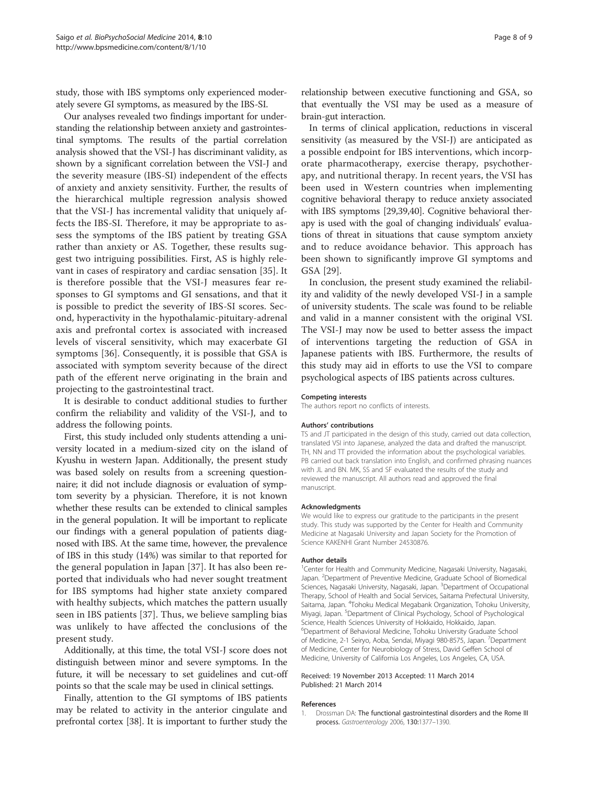<span id="page-7-0"></span>study, those with IBS symptoms only experienced moderately severe GI symptoms, as measured by the IBS-SI.

Our analyses revealed two findings important for understanding the relationship between anxiety and gastrointestinal symptoms. The results of the partial correlation analysis showed that the VSI-J has discriminant validity, as shown by a significant correlation between the VSI-J and the severity measure (IBS-SI) independent of the effects of anxiety and anxiety sensitivity. Further, the results of the hierarchical multiple regression analysis showed that the VSI-J has incremental validity that uniquely affects the IBS-SI. Therefore, it may be appropriate to assess the symptoms of the IBS patient by treating GSA rather than anxiety or AS. Together, these results suggest two intriguing possibilities. First, AS is highly relevant in cases of respiratory and cardiac sensation [[35\]](#page-8-0). It is therefore possible that the VSI-J measures fear responses to GI symptoms and GI sensations, and that it is possible to predict the severity of IBS-SI scores. Second, hyperactivity in the hypothalamic-pituitary-adrenal axis and prefrontal cortex is associated with increased levels of visceral sensitivity, which may exacerbate GI symptoms [[36\]](#page-8-0). Consequently, it is possible that GSA is associated with symptom severity because of the direct path of the efferent nerve originating in the brain and projecting to the gastrointestinal tract.

It is desirable to conduct additional studies to further confirm the reliability and validity of the VSI-J, and to address the following points.

First, this study included only students attending a university located in a medium-sized city on the island of Kyushu in western Japan. Additionally, the present study was based solely on results from a screening questionnaire; it did not include diagnosis or evaluation of symptom severity by a physician. Therefore, it is not known whether these results can be extended to clinical samples in the general population. It will be important to replicate our findings with a general population of patients diagnosed with IBS. At the same time, however, the prevalence of IBS in this study (14%) was similar to that reported for the general population in Japan [[37\]](#page-8-0). It has also been reported that individuals who had never sought treatment for IBS symptoms had higher state anxiety compared with healthy subjects, which matches the pattern usually seen in IBS patients [\[37](#page-8-0)]. Thus, we believe sampling bias was unlikely to have affected the conclusions of the present study.

Additionally, at this time, the total VSI-J score does not distinguish between minor and severe symptoms. In the future, it will be necessary to set guidelines and cut-off points so that the scale may be used in clinical settings.

Finally, attention to the GI symptoms of IBS patients may be related to activity in the anterior cingulate and prefrontal cortex [[38](#page-8-0)]. It is important to further study the

relationship between executive functioning and GSA, so that eventually the VSI may be used as a measure of brain-gut interaction.

In terms of clinical application, reductions in visceral sensitivity (as measured by the VSI-J) are anticipated as a possible endpoint for IBS interventions, which incorporate pharmacotherapy, exercise therapy, psychotherapy, and nutritional therapy. In recent years, the VSI has been used in Western countries when implementing cognitive behavioral therapy to reduce anxiety associated with IBS symptoms [[29,39,40\]](#page-8-0). Cognitive behavioral therapy is used with the goal of changing individuals' evaluations of threat in situations that cause symptom anxiety and to reduce avoidance behavior. This approach has been shown to significantly improve GI symptoms and GSA [\[29](#page-8-0)].

In conclusion, the present study examined the reliability and validity of the newly developed VSI-J in a sample of university students. The scale was found to be reliable and valid in a manner consistent with the original VSI. The VSI-J may now be used to better assess the impact of interventions targeting the reduction of GSA in Japanese patients with IBS. Furthermore, the results of this study may aid in efforts to use the VSI to compare psychological aspects of IBS patients across cultures.

#### Competing interests

The authors report no conflicts of interests.

#### Authors' contributions

TS and JT participated in the design of this study, carried out data collection, translated VSI into Japanese, analyzed the data and drafted the manuscript. TH, NN and TT provided the information about the psychological variables. PB carried out back translation into English, and confirmed phrasing nuances with JL and BN. MK, SS and SF evaluated the results of the study and reviewed the manuscript. All authors read and approved the final manuscript.

#### Acknowledgments

We would like to express our gratitude to the participants in the present study. This study was supported by the Center for Health and Community Medicine at Nagasaki University and Japan Society for the Promotion of Science KAKENHI Grant Number 24530876.

#### Author details

<sup>1</sup> Center for Health and Community Medicine, Nagasaki University, Nagasaki Japan. <sup>2</sup> Department of Preventive Medicine, Graduate School of Biomedical Sciences, Nagasaki University, Nagasaki, Japan. <sup>3</sup>Department of Occupational Therapy, School of Health and Social Services, Saitama Prefectural University, Saitama, Japan. <sup>4</sup>Tohoku Medical Megabank Organization, Tohoku University, Miyagi, Japan. <sup>5</sup>Department of Clinical Psychology, School of Psychological Science, Health Sciences University of Hokkaido, Hokkaido, Japan. 6 Department of Behavioral Medicine, Tohoku University Graduate School of Medicine, 2-1 Seiryo, Aoba, Sendai, Miyagi 980-8575, Japan. <sup>7</sup>Department of Medicine, Center for Neurobiology of Stress, David Geffen School of Medicine, University of California Los Angeles, Los Angeles, CA, USA.

#### Received: 19 November 2013 Accepted: 11 March 2014 Published: 21 March 2014

#### References

1. Drossman DA: The functional gastrointestinal disorders and the Rome III process. Gastroenterology 2006, 130:1377–1390.